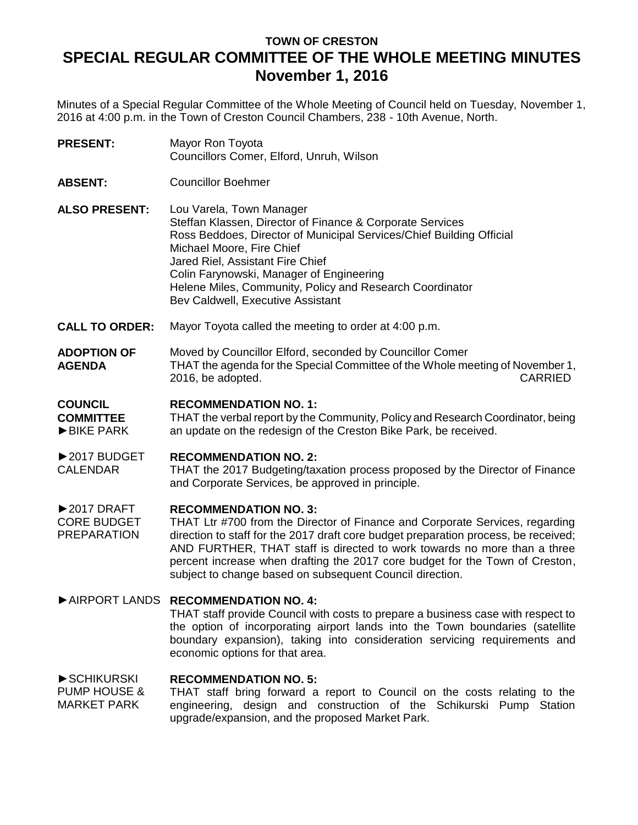# **TOWN OF CRESTON SPECIAL REGULAR COMMITTEE OF THE WHOLE MEETING MINUTES November 1, 2016**

Minutes of a Special Regular Committee of the Whole Meeting of Council held on Tuesday, November 1, 2016 at 4:00 p.m. in the Town of Creston Council Chambers, 238 - 10th Avenue, North.

- **PRESENT:** Mayor Ron Toyota Councillors Comer, Elford, Unruh, Wilson
- **ABSENT:** Councillor Boehmer
- **ALSO PRESENT:** Lou Varela, Town Manager Steffan Klassen, Director of Finance & Corporate Services Ross Beddoes, Director of Municipal Services/Chief Building Official Michael Moore, Fire Chief Jared Riel, Assistant Fire Chief Colin Farynowski, Manager of Engineering Helene Miles, Community, Policy and Research Coordinator Bev Caldwell, Executive Assistant
- **CALL TO ORDER:** Mayor Toyota called the meeting to order at 4:00 p.m.
- **ADOPTION OF AGENDA** Moved by Councillor Elford, seconded by Councillor Comer THAT the agenda for the Special Committee of the Whole meeting of November 1, 2016, be adopted. CARRIED

### **COUNCIL RECOMMENDATION NO. 1:**

**COMMITTEE** ►BIKE PARK THAT the verbal report by the Community, Policy and Research Coordinator, being an update on the redesign of the Creston Bike Park, be received.

#### ►2017 BUDGET **RECOMMENDATION NO. 2:**

CALENDAR THAT the 2017 Budgeting/taxation process proposed by the Director of Finance and Corporate Services, be approved in principle.

#### $\blacktriangleright$  2017 DRAFT **RECOMMENDATION NO. 3:**

CORE BUDGET PREPARATION THAT Ltr #700 from the Director of Finance and Corporate Services, regarding direction to staff for the 2017 draft core budget preparation process, be received; AND FURTHER, THAT staff is directed to work towards no more than a three percent increase when drafting the 2017 core budget for the Town of Creston, subject to change based on subsequent Council direction.

## ►AIRPORT LANDS **RECOMMENDATION NO. 4:**

THAT staff provide Council with costs to prepare a business case with respect to the option of incorporating airport lands into the Town boundaries (satellite boundary expansion), taking into consideration servicing requirements and economic options for that area.

#### ►SCHIKURSKI **RECOMMENDATION NO. 5:**

PUMP HOUSE & MARKET PARK THAT staff bring forward a report to Council on the costs relating to the engineering, design and construction of the Schikurski Pump Station upgrade/expansion, and the proposed Market Park.